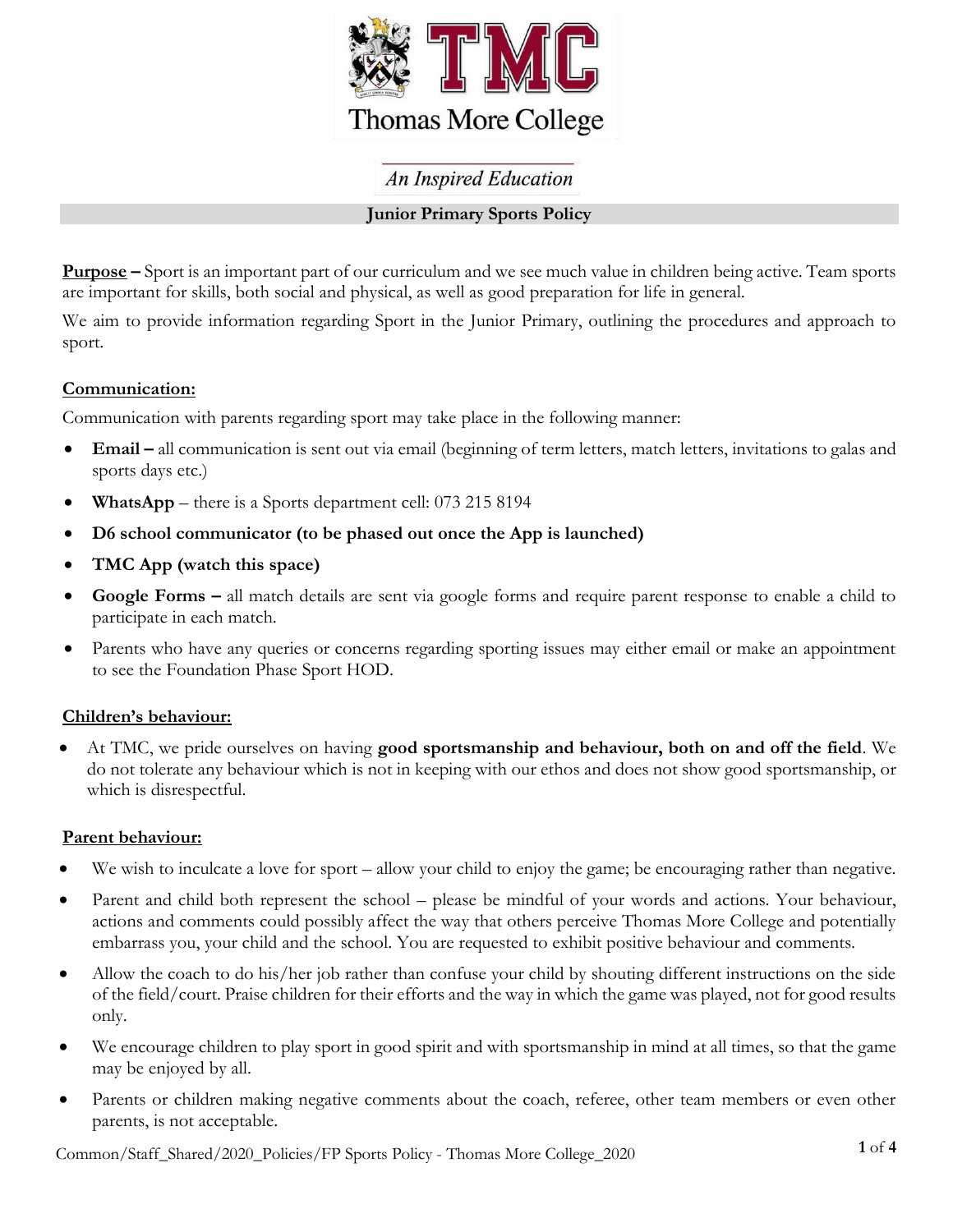

# **An Inspired Education**

## **Junior Primary Sports Policy**

**Purpose –** Sport is an important part of our curriculum and we see much value in children being active. Team sports are important for skills, both social and physical, as well as good preparation for life in general.

We aim to provide information regarding Sport in the Junior Primary, outlining the procedures and approach to sport.

### **Communication:**

Communication with parents regarding sport may take place in the following manner:

- **Email –** all communication is sent out via email (beginning of term letters, match letters, invitations to galas and sports days etc.)
- **WhatsApp** there is a Sports department cell: 073 215 8194
- **D6 school communicator (to be phased out once the App is launched)**
- **TMC App (watch this space)**
- **Google Forms –** all match details are sent via google forms and require parent response to enable a child to participate in each match.
- Parents who have any queries or concerns regarding sporting issues may either email or make an appointment to see the Foundation Phase Sport HOD.

# **Children's behaviour:**

 At TMC, we pride ourselves on having **good sportsmanship and behaviour, both on and off the field**. We do not tolerate any behaviour which is not in keeping with our ethos and does not show good sportsmanship, or which is disrespectful.

### **Parent behaviour:**

- We wish to inculcate a love for sport allow your child to enjoy the game; be encouraging rather than negative.
- Parent and child both represent the school please be mindful of your words and actions. Your behaviour, actions and comments could possibly affect the way that others perceive Thomas More College and potentially embarrass you, your child and the school. You are requested to exhibit positive behaviour and comments.
- Allow the coach to do his/her job rather than confuse your child by shouting different instructions on the side of the field/court. Praise children for their efforts and the way in which the game was played, not for good results only.
- We encourage children to play sport in good spirit and with sportsmanship in mind at all times, so that the game may be enjoyed by all.
- Parents or children making negative comments about the coach, referee, other team members or even other parents, is not acceptable.

**1** of **4** Common/Staff\_Shared/2020\_Policies/FP Sports Policy - Thomas More College\_2020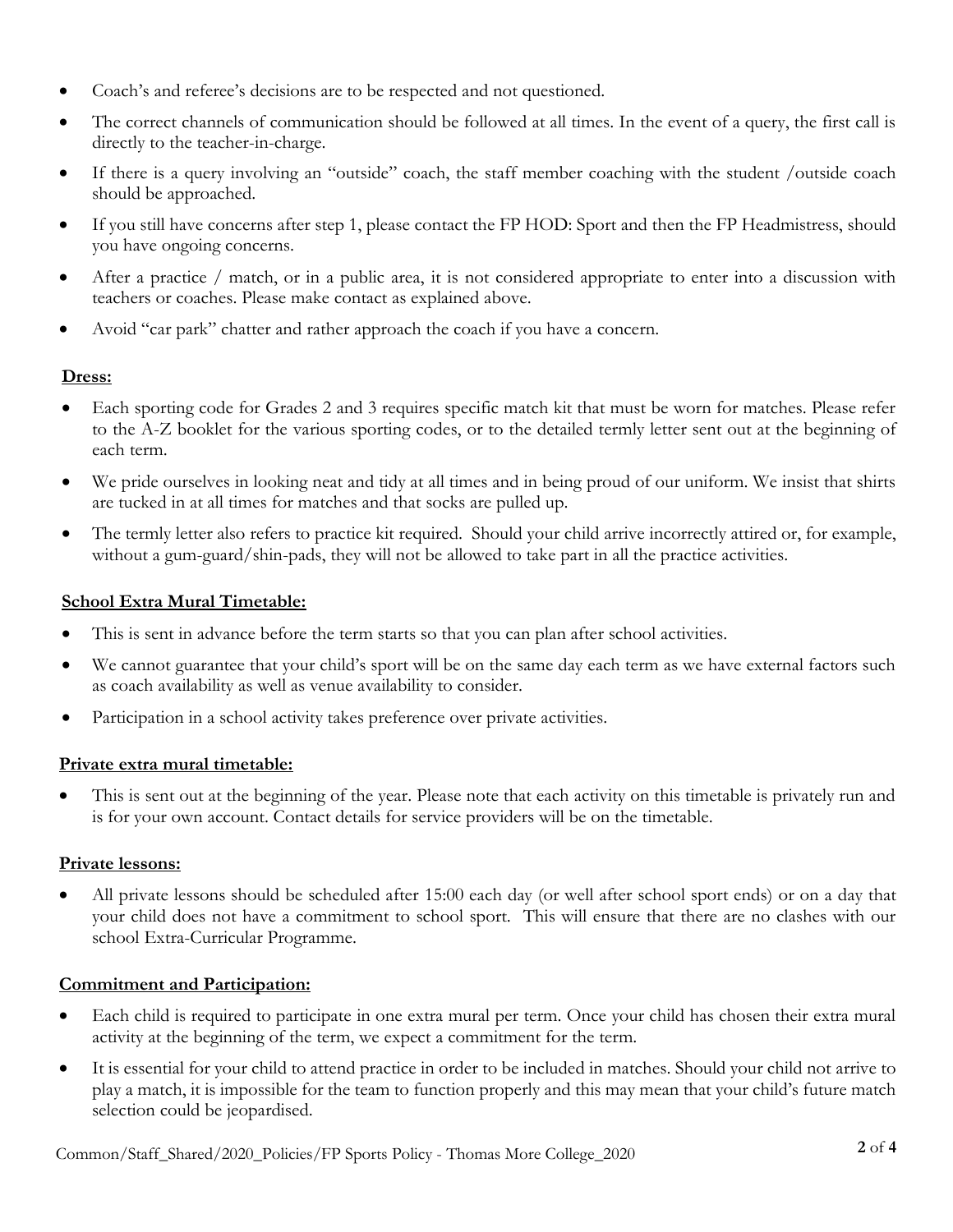- Coach's and referee's decisions are to be respected and not questioned.
- The correct channels of communication should be followed at all times. In the event of a query, the first call is directly to the teacher-in-charge.
- If there is a query involving an "outside" coach, the staff member coaching with the student /outside coach should be approached.
- If you still have concerns after step 1, please contact the FP HOD: Sport and then the FP Headmistress, should you have ongoing concerns.
- After a practice / match, or in a public area, it is not considered appropriate to enter into a discussion with teachers or coaches. Please make contact as explained above.
- Avoid "car park" chatter and rather approach the coach if you have a concern.

## **Dress:**

- Each sporting code for Grades 2 and 3 requires specific match kit that must be worn for matches. Please refer to the A-Z booklet for the various sporting codes, or to the detailed termly letter sent out at the beginning of each term.
- We pride ourselves in looking neat and tidy at all times and in being proud of our uniform. We insist that shirts are tucked in at all times for matches and that socks are pulled up.
- The termly letter also refers to practice kit required. Should your child arrive incorrectly attired or, for example, without a gum-guard/shin-pads, they will not be allowed to take part in all the practice activities.

### **School Extra Mural Timetable:**

- This is sent in advance before the term starts so that you can plan after school activities.
- We cannot guarantee that your child's sport will be on the same day each term as we have external factors such as coach availability as well as venue availability to consider.
- Participation in a school activity takes preference over private activities.

### **Private extra mural timetable:**

 This is sent out at the beginning of the year. Please note that each activity on this timetable is privately run and is for your own account. Contact details for service providers will be on the timetable.

### **Private lessons:**

 All private lessons should be scheduled after 15:00 each day (or well after school sport ends) or on a day that your child does not have a commitment to school sport. This will ensure that there are no clashes with our school Extra-Curricular Programme.

### **Commitment and Participation:**

- Each child is required to participate in one extra mural per term. Once your child has chosen their extra mural activity at the beginning of the term, we expect a commitment for the term.
- It is essential for your child to attend practice in order to be included in matches. Should your child not arrive to play a match, it is impossible for the team to function properly and this may mean that your child's future match selection could be jeopardised.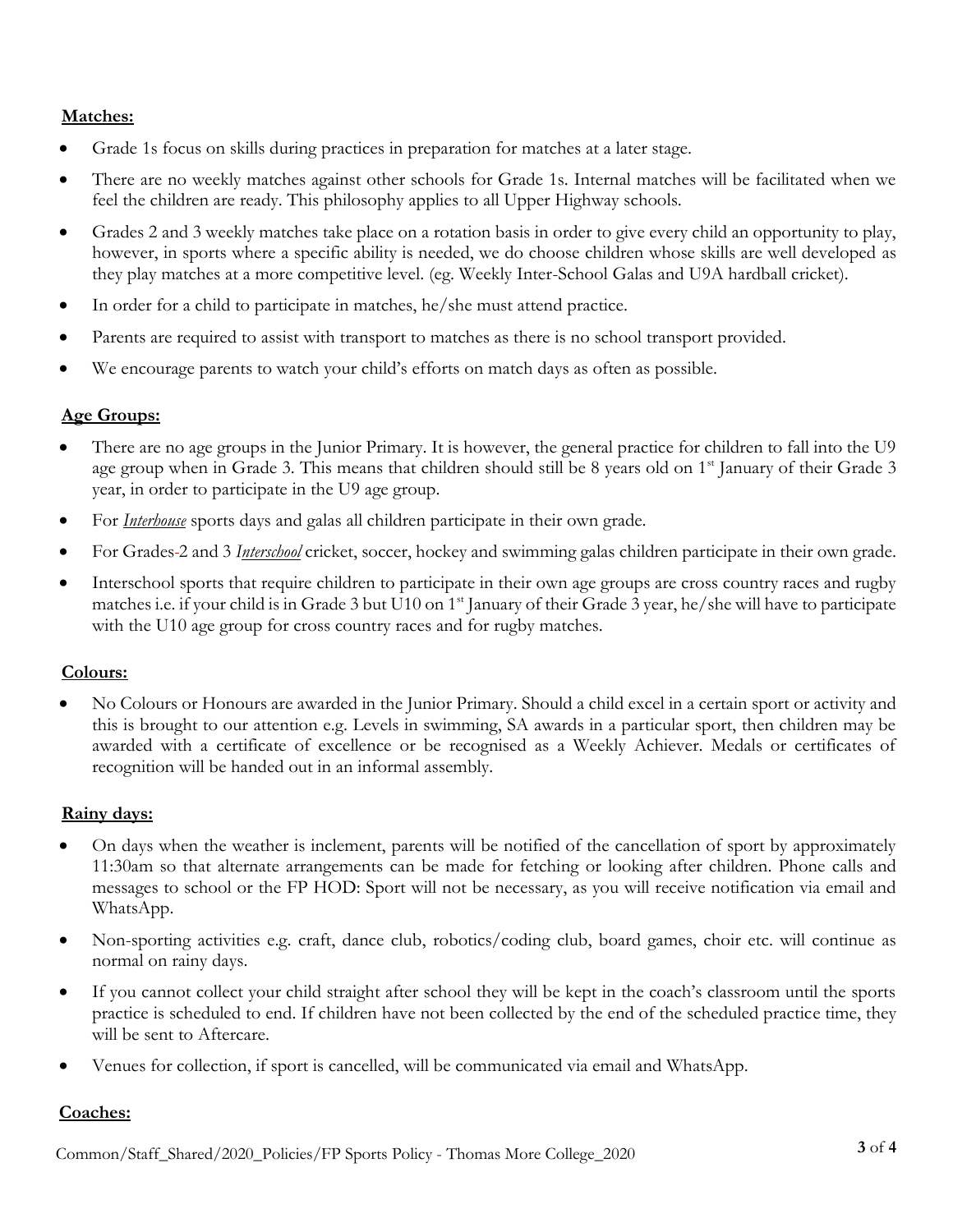### **Matches:**

- Grade 1s focus on skills during practices in preparation for matches at a later stage.
- There are no weekly matches against other schools for Grade 1s. Internal matches will be facilitated when we feel the children are ready. This philosophy applies to all Upper Highway schools.
- Grades 2 and 3 weekly matches take place on a rotation basis in order to give every child an opportunity to play, however, in sports where a specific ability is needed, we do choose children whose skills are well developed as they play matches at a more competitive level. (eg. Weekly Inter-School Galas and U9A hardball cricket).
- In order for a child to participate in matches, he/she must attend practice.
- Parents are required to assist with transport to matches as there is no school transport provided.
- We encourage parents to watch your child's efforts on match days as often as possible.

### **Age Groups:**

- There are no age groups in the Junior Primary. It is however, the general practice for children to fall into the U9 age group when in Grade 3. This means that children should still be 8 years old on 1<sup>st</sup> January of their Grade 3 year, in order to participate in the U9 age group.
- For *Interhouse* sports days and galas all children participate in their own grade.
- For Grades 2 and 3 *Interschool* cricket, soccer, hockey and swimming galas children participate in their own grade.
- Interschool sports that require children to participate in their own age groups are cross country races and rugby matches i.e. if your child is in Grade 3 but U10 on 1<sup>st</sup> January of their Grade 3 year, he/she will have to participate with the U10 age group for cross country races and for rugby matches.

#### **Colours:**

 No Colours or Honours are awarded in the Junior Primary. Should a child excel in a certain sport or activity and this is brought to our attention e.g. Levels in swimming, SA awards in a particular sport, then children may be awarded with a certificate of excellence or be recognised as a Weekly Achiever. Medals or certificates of recognition will be handed out in an informal assembly.

#### **Rainy days:**

- On days when the weather is inclement, parents will be notified of the cancellation of sport by approximately 11:30am so that alternate arrangements can be made for fetching or looking after children. Phone calls and messages to school or the FP HOD: Sport will not be necessary, as you will receive notification via email and WhatsApp.
- Non-sporting activities e.g. craft, dance club, robotics/coding club, board games, choir etc. will continue as normal on rainy days.
- If you cannot collect your child straight after school they will be kept in the coach's classroom until the sports practice is scheduled to end. If children have not been collected by the end of the scheduled practice time, they will be sent to Aftercare.
- Venues for collection, if sport is cancelled, will be communicated via email and WhatsApp.

#### **Coaches:**